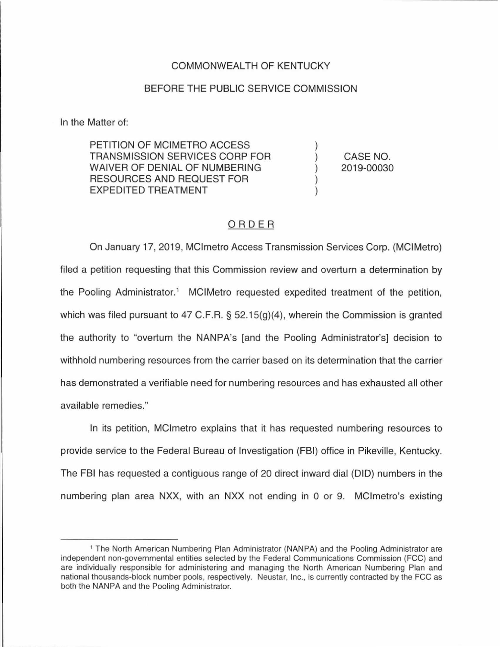## COMMONWEALTH OF KENTUCKY

## BEFORE THE PUBLIC SERVICE COMMISSION

In the Matter of:

PETITION OF MCIMETRO ACCESS TRANSMISSION SERVICES CORP FOR WAIVER OF DENIAL OF NUMBERING RESOURCES AND REQUEST FOR EXPEDITED TREATMENT

CASE NO. 2019-00030

## ORDER

On January 17, 2019, MClmetro Access Transmission Services Corp. (MCIMetro) filed a petition requesting that this Commission review and overturn a determination by the Pooling Administrator.<sup>1</sup> MCIMetro requested expedited treatment of the petition, which was filed pursuant to 47 C.F.R. § 52.15(g)(4), wherein the Commission is granted the authority to "overturn the NANPA's [and the Pooling Administrator's] decision to withhold numbering resources from the carrier based on its determination that the carrier has demonstrated a verifiable need for numbering resources and has exhausted all other available remedies."

In its petition, MCImetro explains that it has requested numbering resources to provide service to the Federal Bureau of Investigation (FBI) office in Pikeville, Kentucky. The FBI has requested a contiguous range of 20 direct inward dial (DID) numbers in the numbering plan area NXX, with an NXX not ending in 0 or 9. MClmetro's existing

<sup>1</sup>The North American Numbering Plan Administrator (NANPA) and the Pooling Administrator are independent non-governmental entities selected by the Federal Communications Commission (FCC) and are individually responsible for administering and managing the North American Numbering Plan and national thousands-block number pools, respectively. Neustar, Inc., is currently contracted by the FCC as both the NANPA and the Pooling Administrator.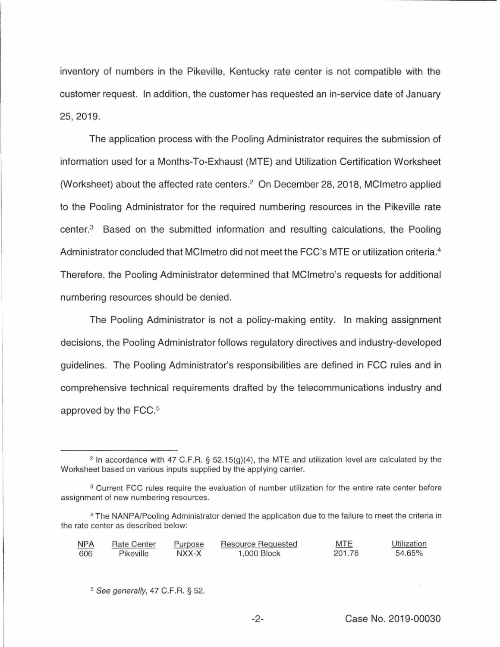inventory of numbers in the Pikeville, Kentucky rate center is not compatible with the customer request. In addition, the customer has requested an in-service date of January 25, 2019.

The application process with the Pooling Administrator requires the submission of information used for a Months-To-Exhaust (MTE} and Utilization Certification Worksheet (Worksheet) about the affected rate centers.2 On December 28, 2018, MClmetro applied to the Pooling Administrator for the required numbering resources in the Pikeville rate center.3 Based on the submitted information and resulting calculations, the Pooling Administrator concluded that MCI metro did not meet the FCC's MTE or utilization criteria.<sup>4</sup> Therefore, the Pooling Administrator determined that MClmetro's requests for additional numbering resources should be denied.

The Pooling Administrator is not a policy-making entity. In making assignment decisions, the Pooling Administrator follows regulatory directives and industry-developed guidelines. The Pooling Administrator's responsibilities are defined in FCC rules and in comprehensive technical requirements drafted by the telecommunications industry and approved by the FCC.<sup>5</sup>

<sup>&</sup>lt;sup>4</sup> The NANPA/Pooling Administrator denied the application due to the failure to meet the criteria in the rate center as described below:

| <b>NPA</b> | <b>Rate Center</b> | Purpose | Resource Requested | MTE    | Utilization |
|------------|--------------------|---------|--------------------|--------|-------------|
| 606        | Pikeville          | NXX-X   | 1,000 Block        | 201.78 | 54.65%      |

 $5$  See generally, 47 C.F.R. § 52.

Case No. 2019-00030

-2-

 $2$  In accordance with 47 C.F.R. § 52.15(g)(4), the MTE and utilization level are calculated by the Worksheet based on various inputs supplied by the applying carrier.

<sup>&</sup>lt;sup>3</sup> Current FCC rules require the evaluation of number utilization for the entire rate center before assignment of new numbering resources.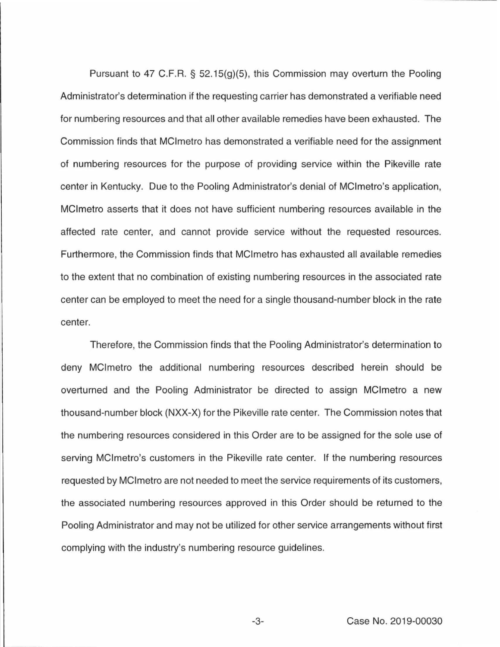Pursuant to 47 C.F.R.  $\S$  52.15(g)(5), this Commission may overturn the Pooling Administrator's determination if the requesting carrier has demonstrated a verifiable need for numbering resources and that all other available remedies have been exhausted. The Commission finds that MClmetro has demonstrated a verifiable need for the assignment of numbering resources for the purpose of providing service within the Pikeville rate center in Kentucky. Due to the Pooling Administrator's denial of MClmetro's application, MClmetro asserts that it does not have sufficient numbering resources available in the affected rate center, and cannot provide service without the requested resources. Furthermore, the Commission finds that MClmetro has exhausted all available remedies to the extent that no combination of existing numbering resources in the associated rate center can be employed to meet the need for a single thousand-number block in the rate center.

Therefore, the Commission finds that the Pooling Administrator's determination to deny MClmetro the additional numbering resources described herein should be overturned and the Pooling Administrator be directed to assign MClmetro a new thousand-number block (NXX-X) forthe Pikeville rate center. The Commission notes that the numbering resources considered in this Order are to be assigned for the sole use of serving MClmetro's customers in the Pikeville rate center. If the numbering resources requested by MCI metro are not needed to meet the service requirements of its customers, the associated numbering resources approved in this Order should be returned to the Pooling Administrator and may not be utilized for other service arrangements without first complying with the industry's numbering resource guidelines.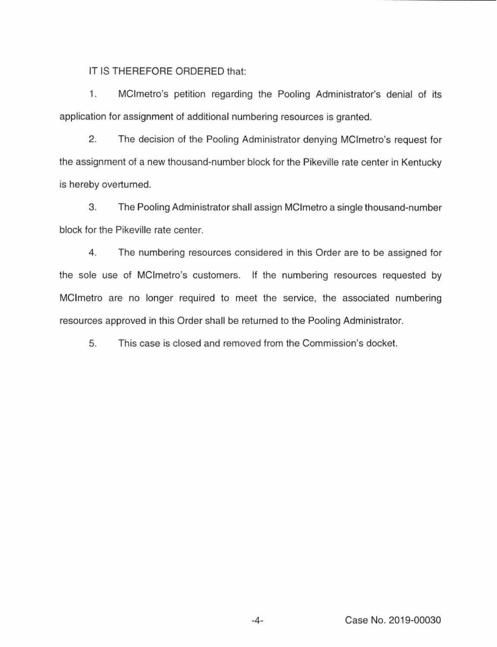IT IS THEREFORE ORDERED that:

1. MClmetro's petition regarding the Pooling Administrator's denial of its application for assignment of additional numbering resources is granted.

2. The decision of the Pooling Administrator denying MClmetro's request for the assignment of a new thousand-number block for the Pikeville rate center in Kentucky is hereby overturned.

3. The Pooling Administrator shall assign MCI metro a single thousand-number block for the Pikeville rate center.

4. The numbering resources considered in this Order are to be assigned for the sole use of MClmetro's customers. If the numbering resources requested by MClmetro are no longer required to meet the service, the associated numbering resources approved in this Order shall be returned to the Pooling Administrator.

5. This case is closed and removed from the Commission's docket.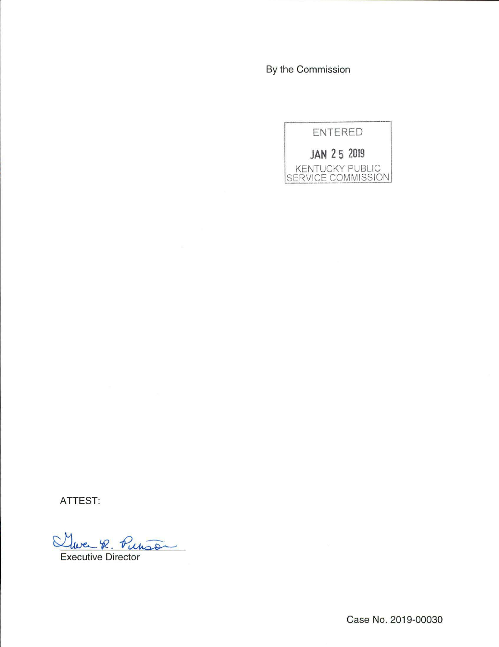By the Commission



ATTEST:

Twee R. Purson

Executive Director

Case No. 2019-00030